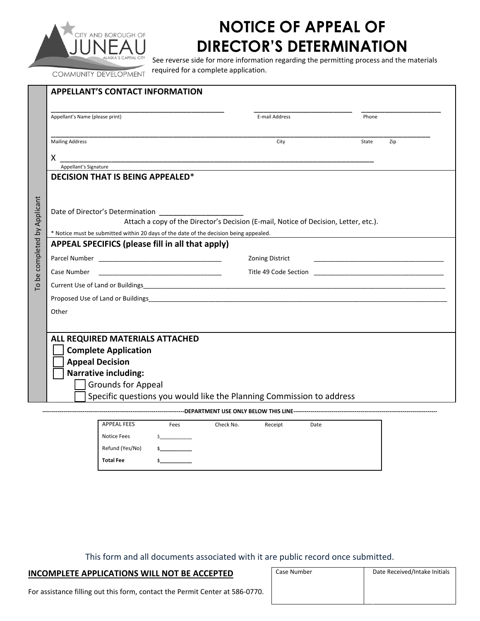

# **NOTICE OF APPEAL OF DIRECTOR'S DETERMINATION**

See reverse side for more information regarding the permitting process and the materials required for a complete application.

COMMUNITY DEVELOPMENT

| Appellant's Name (please print)                                                                                          | E-mail Address                                                                       | Phone        |
|--------------------------------------------------------------------------------------------------------------------------|--------------------------------------------------------------------------------------|--------------|
|                                                                                                                          |                                                                                      |              |
| <b>Mailing Address</b>                                                                                                   | City                                                                                 | State<br>Zip |
| X                                                                                                                        |                                                                                      |              |
| Appellant's Signature                                                                                                    |                                                                                      |              |
| <b>DECISION THAT IS BEING APPEALED*</b>                                                                                  |                                                                                      |              |
|                                                                                                                          |                                                                                      |              |
|                                                                                                                          |                                                                                      |              |
| Date of Director's Determination                                                                                         |                                                                                      |              |
|                                                                                                                          | Attach a copy of the Director's Decision (E-mail, Notice of Decision, Letter, etc.). |              |
| * Notice must be submitted within 20 days of the date of the decision being appealed.                                    |                                                                                      |              |
| APPEAL SPECIFICS (please fill in all that apply)                                                                         |                                                                                      |              |
|                                                                                                                          |                                                                                      |              |
|                                                                                                                          | <b>Zoning District</b>                                                               |              |
| Case Number                                                                                                              |                                                                                      |              |
|                                                                                                                          |                                                                                      |              |
| Proposed Use of Land or Buildings <b>Container and Container and Container and Container and Container and Container</b> |                                                                                      |              |
|                                                                                                                          |                                                                                      |              |
|                                                                                                                          |                                                                                      |              |
|                                                                                                                          |                                                                                      |              |
|                                                                                                                          |                                                                                      |              |
|                                                                                                                          |                                                                                      |              |
|                                                                                                                          |                                                                                      |              |
| <b>Complete Application</b>                                                                                              |                                                                                      |              |
| <b>Appeal Decision</b>                                                                                                   |                                                                                      |              |
| <b>Narrative including:</b>                                                                                              |                                                                                      |              |
| <b>Grounds for Appeal</b>                                                                                                |                                                                                      |              |
| Specific questions you would like the Planning Commission to address                                                     |                                                                                      |              |
| Other<br>ALL REQUIRED MATERIALS ATTACHED                                                                                 |                                                                                      |              |
| <b>APPEAL FEES</b><br>Fees                                                                                               | Check No.<br>Receipt<br>Date                                                         |              |

This form and all documents associated with it are public record once submitted.

| INCOMPLETE APPLICATIONS WILL NOT BE ACCEPTED                                 | Case Number | Date Received/Intake Initials |  |
|------------------------------------------------------------------------------|-------------|-------------------------------|--|
| For assistance filling out this form, contact the Permit Center at 586-0770. |             |                               |  |

Refund (Yes/No) **\$\_\_\_\_\_\_\_\_\_\_\_**

**Total Fee \$\_\_\_\_\_\_\_\_\_\_\_**